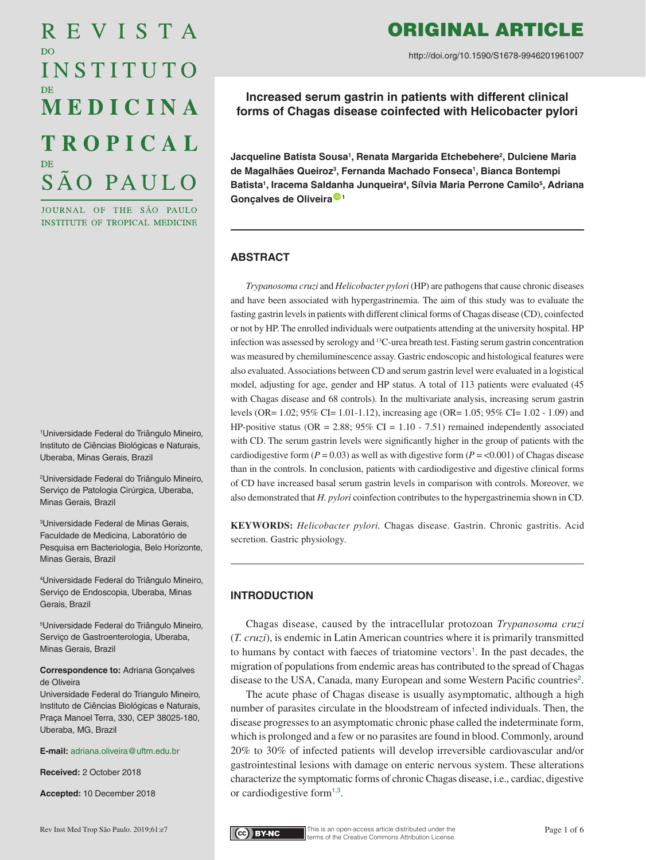# REVISTA D<sub>O</sub> INSTITUTO MEDICINA **TROPICAL** SÃO PAULO

JOURNAL OF THE SÃO PAULO INSTITUTE OF TROPICAL MEDICINE

1 Universidade Federal do Triângulo Mineiro, Instituto de Ciências Biológicas e Naturais, Uberaba, Minas Gerais, Brazil

2 Universidade Federal do Triângulo Mineiro, Serviço de Patologia Cirúrgica, Uberaba, Minas Gerais, Brazil

3 Universidade Federal de Minas Gerais, Faculdade de Medicina, Laboratório de Pesquisa em Bacteriologia, Belo Horizonte, Minas Gerais, Brazil

4 Universidade Federal do Triângulo Mineiro, Serviço de Endoscopia, Uberaba, Minas Gerais, Brazil

5 Universidade Federal do Triângulo Mineiro, Serviço de Gastroenterologia, Uberaba, Minas Gerais, Brazil

**Correspondence to:** Adriana Gonçalves de Oliveira

Universidade Federal do Triangulo Mineiro, Instituto de Ciências Biológicas e Naturais, Praça Manoel Terra, 330, CEP 38025-180, Uberaba, MG, Brazil

**E-mail:** [adriana.oliveira@uftm.edu.br](mailto:adriana.oliveira%40uftm.edu.br?subject=)

**Received:** 2 October 2018

**Accepted:** 10 December 2018

# ORIGINAL ARTICLE

http://doi.org/10.1590/S1678-9946201961007

**Increased serum gastrin in patients with different clinical forms of Chagas disease coinfected with Helicobacter pylori**

**Jacqueline Batista Sousa1 , Renata Margarida Etchebehere2 , Dulciene Maria de Magalhães Queiroz3 , Fernanda Machado Fonseca1 , Bianca Bontempi**  Batista<sup>1</sup>, Iracema Saldanha Junqueira<sup>4</sup>, Sílvia Maria Perrone Camilo<sup>5</sup>, Adriana **Gonçalves de Oliveir[a](http://orcid.org/0000-0003-4561-5503) <sup>1</sup>**

# **ABSTRACT**

*Trypanosoma cruzi* and *Helicobacter pylori* (HP) are pathogens that cause chronic diseases and have been associated with hypergastrinemia. The aim of this study was to evaluate the fasting gastrin levels in patients with different clinical forms of Chagas disease (CD), coinfected or not by HP. The enrolled individuals were outpatients attending at the university hospital. HP infection was assessed by serology and 13C-urea breath test. Fasting serum gastrin concentration was measured by chemiluminescence assay. Gastric endoscopic and histological features were also evaluated. Associations between CD and serum gastrin level were evaluated in a logistical model, adjusting for age, gender and HP status. A total of 113 patients were evaluated (45 with Chagas disease and 68 controls). In the multivariate analysis, increasing serum gastrin levels (OR=  $1.02$ ;  $95\%$  CI=  $1.01-1.12$ ), increasing age (OR=  $1.05$ ;  $95\%$  CI=  $1.02 - 1.09$ ) and HP-positive status (OR = 2.88;  $95\%$  CI = 1.10 - 7.51) remained independently associated with CD. The serum gastrin levels were significantly higher in the group of patients with the cardiodigestive form  $(P = 0.03)$  as well as with digestive form  $(P = 0.001)$  of Chagas disease than in the controls. In conclusion, patients with cardiodigestive and digestive clinical forms of CD have increased basal serum gastrin levels in comparison with controls. Moreover, we also demonstrated that *H. pylori* coinfection contributes to the hypergastrinemia shown in CD.

**KEYWORDS:** *Helicobacter pylori.* Chagas disease. Gastrin. Chronic gastritis. Acid secretion. Gastric physiology.

# **INTRODUCTION**

<span id="page-0-0"></span>Chagas disease, caused by the intracellular protozoan *Trypanosoma cruzi* (*T. cruzi*), is endemic in Latin American countries where it is primarily transmitted to humans by contact with faeces of triatomine vectors<sup>[1](#page-4-0)</sup>. In the past decades, the migration of populations from endemic areas has contributed to the spread of Chagas disease to the USA, Canada, many European and some Western Pacific countries<sup>2</sup>.

<span id="page-0-2"></span><span id="page-0-1"></span>The acute phase of Chagas disease is usually asymptomatic, although a high number of parasites circulate in the bloodstream of infected individuals. Then, the disease progresses to an asymptomatic chronic phase called the indeterminate form, which is prolonged and a few or no parasites are found in blood. Commonly, around 20% to 30% of infected patients will develop irreversible cardiovascular and/or gastrointestinal lesions with damage on enteric nervous system. These alterations characterize the symptomatic forms of chronic Chagas disease, i.e., cardiac, digestive or cardiodigestive form<sup>[1](#page-4-0),[3](#page-4-0)</sup>.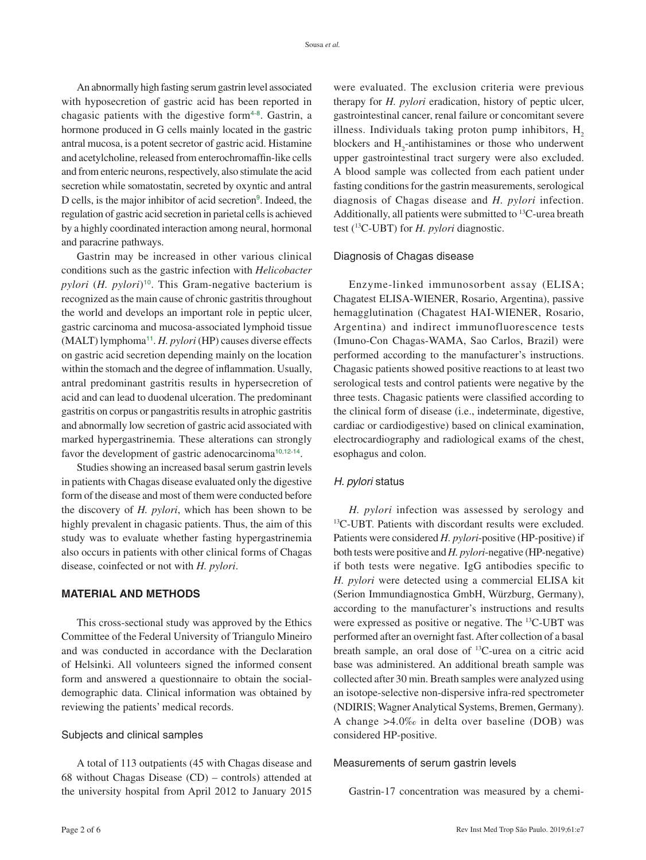<span id="page-1-0"></span>An abnormally high fasting serum gastrin level associated with hyposecretion of gastric acid has been reported in chagasic patients with the digestive form $4-8$  $4-8$  $4-8$ . Gastrin, a hormone produced in G cells mainly located in the gastric antral mucosa, is a potent secretor of gastric acid. Histamine and acetylcholine, released from enterochromaffin-like cells and from enteric neurons, respectively, also stimulate the acid secretion while somatostatin, secreted by oxyntic and antral D cells, is the major inhibitor of acid secretion<sup>[9](#page-5-0)</sup>. Indeed, the regulation of gastric acid secretion in parietal cells is achieved by a highly coordinated interaction among neural, hormonal and paracrine pathways.

<span id="page-1-4"></span><span id="page-1-2"></span>Gastrin may be increased in other various clinical conditions such as the gastric infection with *Helicobacter pylori* (*H. pylori*)<sup>[10](#page-5-0)</sup>. This Gram-negative bacterium is recognized as the main cause of chronic gastritis throughout the world and develops an important role in peptic ulcer, gastric carcinoma and mucosa-associated lymphoid tissue (MALT) lymphoma[11](#page-5-0). *H. pylori* (HP) causes diverse effects on gastric acid secretion depending mainly on the location within the stomach and the degree of inflammation. Usually, antral predominant gastritis results in hypersecretion of acid and can lead to duodenal ulceration. The predominant gastritis on corpus or pangastritis results in atrophic gastritis and abnormally low secretion of gastric acid associated with marked hypergastrinemia. These alterations can strongly favor the development of gastric adenocarcinoma<sup>[10](#page-5-0),[12](#page-5-0)-[14](#page-5-0)</sup>.

Studies showing an increased basal serum gastrin levels in patients with Chagas disease evaluated only the digestive form of the disease and most of them were conducted before the discovery of *H. pylori*, which has been shown to be highly prevalent in chagasic patients. Thus, the aim of this study was to evaluate whether fasting hypergastrinemia also occurs in patients with other clinical forms of Chagas disease, coinfected or not with *H. pylori*.

# **MATERIAL AND METHODS**

This cross-sectional study was approved by the Ethics Committee of the Federal University of Triangulo Mineiro and was conducted in accordance with the Declaration of Helsinki. All volunteers signed the informed consent form and answered a questionnaire to obtain the socialdemographic data. Clinical information was obtained by reviewing the patients' medical records.

#### Subjects and clinical samples

A total of 113 outpatients (45 with Chagas disease and 68 without Chagas Disease (CD) – controls) attended at the university hospital from April 2012 to January 2015 <span id="page-1-1"></span>were evaluated. The exclusion criteria were previous therapy for *H. pylori* eradication, history of peptic ulcer, gastrointestinal cancer, renal failure or concomitant severe illness. Individuals taking proton pump inhibitors,  $H<sub>2</sub>$ blockers and  $H_2$ -antihistamines or those who underwent upper gastrointestinal tract surgery were also excluded. A blood sample was collected from each patient under fasting conditions for the gastrin measurements, serological diagnosis of Chagas disease and *H. pylori* infection. Additionally, all patients were submitted to <sup>13</sup>C-urea breath test (13C-UBT) for *H. pylori* diagnostic.

#### Diagnosis of Chagas disease

<span id="page-1-3"></span>Enzyme-linked immunosorbent assay (ELISA; Chagatest ELISA-WIENER, Rosario, Argentina), passive hemagglutination (Chagatest HAI-WIENER, Rosario, Argentina) and indirect immunofluorescence tests (Imuno-Con Chagas-WAMA, Sao Carlos, Brazil) were performed according to the manufacturer's instructions. Chagasic patients showed positive reactions to at least two serological tests and control patients were negative by the three tests. Chagasic patients were classified according to the clinical form of disease (i.e., indeterminate, digestive, cardiac or cardiodigestive) based on clinical examination, electrocardiography and radiological exams of the chest, esophagus and colon.

## <span id="page-1-6"></span><span id="page-1-5"></span>*H. pylori* status

*H. pylori* infection was assessed by serology and <sup>13</sup>C-UBT. Patients with discordant results were excluded. Patients were considered *H. pylori*-positive (HP-positive) if both tests were positive and *H. pylori*-negative (HP-negative) if both tests were negative. IgG antibodies specific to *H. pylori* were detected using a commercial ELISA kit (Serion Immundiagnostica GmbH, Würzburg, Germany), according to the manufacturer's instructions and results were expressed as positive or negative. The 13C-UBT was performed after an overnight fast. After collection of a basal breath sample, an oral dose of 13C-urea on a citric acid base was administered. An additional breath sample was collected after 30 min. Breath samples were analyzed using an isotope-selective non-dispersive infra-red spectrometer (NDIRIS; Wagner Analytical Systems, Bremen, Germany). A change >4.0‰ in delta over baseline (DOB) was considered HP-positive.

#### Measurements of serum gastrin levels

Gastrin-17 concentration was measured by a chemi-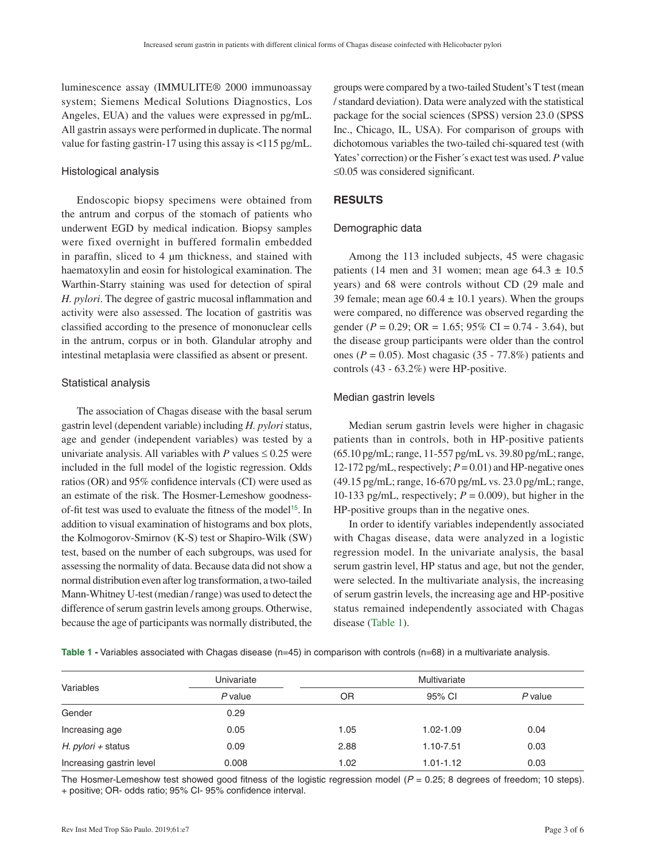luminescence assay (IMMULITE® 2000 immunoassay system; Siemens Medical Solutions Diagnostics, Los Angeles, EUA) and the values were expressed in pg/mL. All gastrin assays were performed in duplicate. The normal value for fasting gastrin-17 using this assay is <115 pg/mL.

#### Histological analysis

Endoscopic biopsy specimens were obtained from the antrum and corpus of the stomach of patients who underwent EGD by medical indication. Biopsy samples were fixed overnight in buffered formalin embedded in paraffin, sliced to 4 µm thickness, and stained with haematoxylin and eosin for histological examination. The Warthin-Starry staining was used for detection of spiral *H. pylori*. The degree of gastric mucosal inflammation and activity were also assessed. The location of gastritis was classified according to the presence of mononuclear cells in the antrum, corpus or in both. Glandular atrophy and intestinal metaplasia were classified as absent or present.

#### Statistical analysis

The association of Chagas disease with the basal serum gastrin level (dependent variable) including *H. pylori* status, age and gender (independent variables) was tested by a univariate analysis. All variables with  $P$  values  $\leq 0.25$  were included in the full model of the logistic regression. Odds ratios (OR) and 95% confidence intervals (CI) were used as an estimate of the risk. The Hosmer-Lemeshow goodness-of-fit test was used to evaluate the fitness of the model<sup>[15](#page-5-0)</sup>. In addition to visual examination of histograms and box plots, the Kolmogorov-Smirnov (K-S) test or Shapiro-Wilk (SW) test, based on the number of each subgroups, was used for assessing the normality of data. Because data did not show a normal distribution even after log transformation, a two-tailed Mann-Whitney U-test (median / range) was used to detect the difference of serum gastrin levels among groups. Otherwise, because the age of participants was normally distributed, the

groups were compared by a two-tailed Student's T test (mean / standard deviation). Data were analyzed with the statistical package for the social sciences (SPSS) version 23.0 (SPSS Inc., Chicago, IL, USA). For comparison of groups with dichotomous variables the two-tailed chi-squared test (with Yates' correction) or the Fisher´s exact test was used. *P* value ≤0.05 was considered significant.

#### **RESULTS**

#### Demographic data

Among the 113 included subjects, 45 were chagasic patients (14 men and 31 women; mean age  $64.3 \pm 10.5$ years) and 68 were controls without CD (29 male and 39 female; mean age  $60.4 \pm 10.1$  years). When the groups were compared, no difference was observed regarding the gender ( $P = 0.29$ ; OR = 1.65; 95% CI = 0.74 - 3.64), but the disease group participants were older than the control ones ( $P = 0.05$ ). Most chagasic (35 - 77.8%) patients and controls (43 - 63.2%) were HP-positive.

#### Median gastrin levels

Median serum gastrin levels were higher in chagasic patients than in controls, both in HP-positive patients (65.10 pg/mL; range, 11-557 pg/mL vs. 39.80 pg/mL; range, 12-172 pg/mL, respectively;  $P = 0.01$ ) and HP-negative ones (49.15 pg/mL; range, 16-670 pg/mL vs. 23.0 pg/mL; range, 10-133 pg/mL, respectively;  $P = 0.009$ ), but higher in the HP-positive groups than in the negative ones.

<span id="page-2-0"></span>In order to identify variables independently associated with Chagas disease, data were analyzed in a logistic regression model. In the univariate analysis, the basal serum gastrin level, HP status and age, but not the gender, were selected. In the multivariate analysis, the increasing of serum gastrin levels, the increasing age and HP-positive status remained independently associated with Chagas disease (Table 1).

Table 1 - Variables associated with Chagas disease (n=45) in comparison with controls (n=68) in a multivariate analysis.

| Variables                | Univariate<br>$P$ value | Multivariate |               |         |
|--------------------------|-------------------------|--------------|---------------|---------|
|                          |                         | OR           | 95% CI        | P value |
| Gender                   | 0.29                    |              |               |         |
| Increasing age           | 0.05                    | 1.05         | 1.02-1.09     | 0.04    |
| H. pylori + status       | 0.09                    | 2.88         | 1.10-7.51     | 0.03    |
| Increasing gastrin level | 0.008                   | 1.02         | $1.01 - 1.12$ | 0.03    |

The Hosmer-Lemeshow test showed good fitness of the logistic regression model ( $P = 0.25$ ; 8 degrees of freedom; 10 steps). + positive; OR- odds ratio; 95% CI- 95% confidence interval.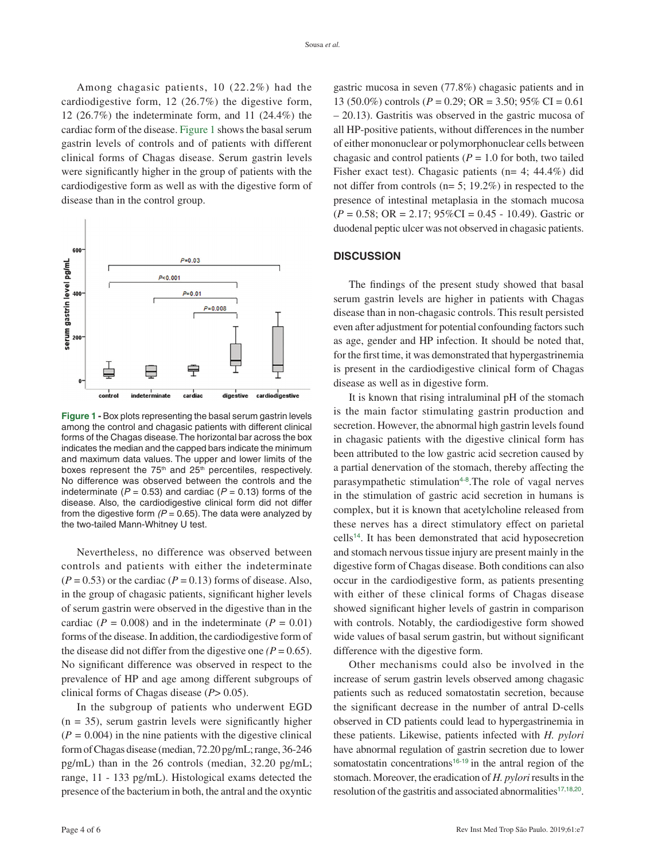Among chagasic patients, 10 (22.2%) had the cardiodigestive form, 12 (26.7%) the digestive form, 12 (26.7%) the indeterminate form, and 11 (24.4%) the cardiac form of the disease. Figure 1 shows the basal serum gastrin levels of controls and of patients with different clinical forms of Chagas disease. Serum gastrin levels were significantly higher in the group of patients with the cardiodigestive form as well as with the digestive form of disease than in the control group.



**Figure 1 -** Box plots representing the basal serum gastrin levels among the control and chagasic patients with different clinical forms of the Chagas disease. The horizontal bar across the box indicates the median and the capped bars indicate the minimum and maximum data values. The upper and lower limits of the boxes represent the 75<sup>th</sup> and 25<sup>th</sup> percentiles, respectively. No difference was observed between the controls and the indeterminate ( $P = 0.53$ ) and cardiac ( $P = 0.13$ ) forms of the disease. Also, the cardiodigestive clinical form did not differ from the digestive form  $(P = 0.65)$ . The data were analyzed by the two-tailed Mann-Whitney U test.

Nevertheless, no difference was observed between controls and patients with either the indeterminate  $(P = 0.53)$  or the cardiac  $(P = 0.13)$  forms of disease. Also, in the group of chagasic patients, significant higher levels of serum gastrin were observed in the digestive than in the cardiac ( $P = 0.008$ ) and in the indeterminate ( $P = 0.01$ ) forms of the disease. In addition, the cardiodigestive form of the disease did not differ from the digestive one  $(P = 0.65)$ . No significant difference was observed in respect to the prevalence of HP and age among different subgroups of clinical forms of Chagas disease (*P*> 0.05).

In the subgroup of patients who underwent EGD  $(n = 35)$ , serum gastrin levels were significantly higher  $(P = 0.004)$  in the nine patients with the digestive clinical form of Chagas disease (median, 72.20 pg/mL; range, 36-246 pg/mL) than in the 26 controls (median, 32.20 pg/mL; range, 11 - 133 pg/mL). Histological exams detected the presence of the bacterium in both, the antral and the oxyntic

gastric mucosa in seven (77.8%) chagasic patients and in 13 (50.0%) controls (*P* = 0.29; OR = 3.50; 95% CI = 0.61 – 20.13). Gastritis was observed in the gastric mucosa of all HP-positive patients, without differences in the number of either mononuclear or polymorphonuclear cells between chagasic and control patients ( $P = 1.0$  for both, two tailed Fisher exact test). Chagasic patients (n= 4; 44.4%) did not differ from controls (n= 5; 19.2%) in respected to the presence of intestinal metaplasia in the stomach mucosa (*P* = 0.58; OR = 2.17; 95%CI = 0.45 - 10.49). Gastric or duodenal peptic ulcer was not observed in chagasic patients.

# **DISCUSSION**

The findings of the present study showed that basal serum gastrin levels are higher in patients with Chagas disease than in non-chagasic controls. This result persisted even after adjustment for potential confounding factors such as age, gender and HP infection. It should be noted that, for the first time, it was demonstrated that hypergastrinemia is present in the cardiodigestive clinical form of Chagas disease as well as in digestive form.

It is known that rising intraluminal pH of the stomach is the main factor stimulating gastrin production and secretion. However, the abnormal high gastrin levels found in chagasic patients with the digestive clinical form has been attributed to the low gastric acid secretion caused by a partial denervation of the stomach, thereby affecting the parasympathetic stimulation<sup>[4](#page-4-0)-[8](#page-5-0)</sup>. The role of vagal nerves in the stimulation of gastric acid secretion in humans is complex, but it is known that acetylcholine released from these nerves has a direct stimulatory effect on parietal cells[14](#page-5-0). It has been demonstrated that acid hyposecretion and stomach nervous tissue injury are present mainly in the digestive form of Chagas disease. Both conditions can also occur in the cardiodigestive form, as patients presenting with either of these clinical forms of Chagas disease showed significant higher levels of gastrin in comparison with controls. Notably, the cardiodigestive form showed wide values of basal serum gastrin, but without significant difference with the digestive form.

<span id="page-3-1"></span><span id="page-3-0"></span>Other mechanisms could also be involved in the increase of serum gastrin levels observed among chagasic patients such as reduced somatostatin secretion, because the significant decrease in the number of antral D-cells observed in CD patients could lead to hypergastrinemia in these patients. Likewise, patients infected with *H. pylori* have abnormal regulation of gastrin secretion due to lower somatostatin concentrations<sup>[16](#page-5-0)-[19](#page-5-0)</sup> in the antral region of the stomach. Moreover, the eradication of *H. pylori* results in the resolution of the gastritis and associated abnormalities<sup>[17](#page-5-0),[18](#page-5-0),[20](#page-5-0)</sup>.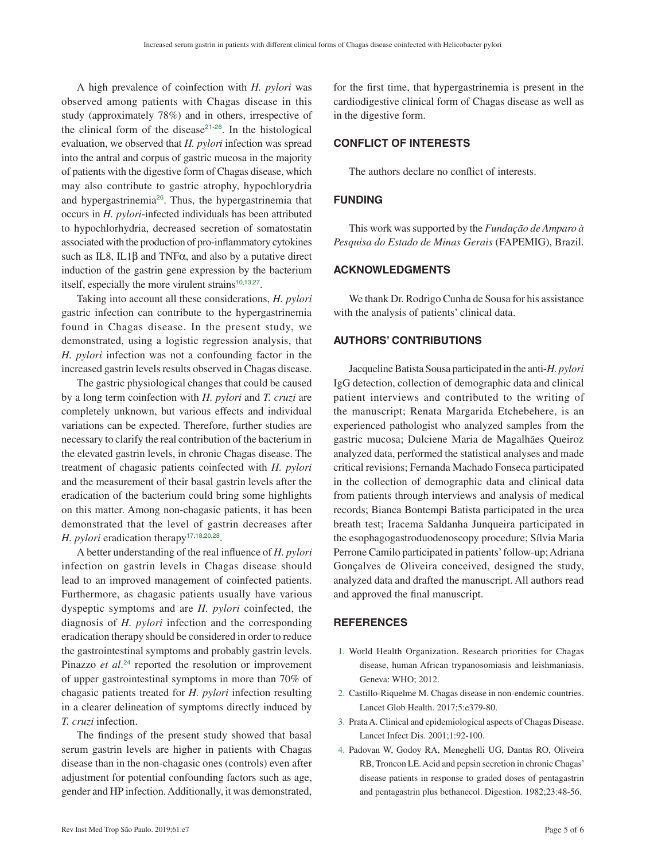<span id="page-4-0"></span>A high prevalence of coinfection with *H. pylori* was observed among patients with Chagas disease in this study (approximately 78%) and in others, irrespective of the clinical form of the disease<sup>[21](#page-5-0)-[26](#page-5-0)</sup>. In the histological evaluation, we observed that *H. pylori* infection was spread into the antral and corpus of gastric mucosa in the majority of patients with the digestive form of Chagas disease, which may also contribute to gastric atrophy, hypochlorydria and hypergastrinemia[26](#page-5-0). Thus, the hypergastrinemia that occurs in *H. pylori*-infected individuals has been attributed to hypochlorhydria, decreased secretion of somatostatin associated with the production of pro-inflammatory cytokines such as IL8, IL1 $\beta$  and TNF $\alpha$ , and also by a putative direct induction of the gastrin gene expression by the bacterium itself, especially the more virulent strains<sup>[10](#page-5-0),13,[27](#page-5-0)</sup>.

Taking into account all these considerations, *H. pylori*  gastric infection can contribute to the hypergastrinemia found in Chagas disease. In the present study, we demonstrated, using a logistic regression analysis, that *H. pylori* infection was not a confounding factor in the increased gastrin levels results observed in Chagas disease.

The gastric physiological changes that could be caused by a long term coinfection with *H. pylori* and *T. cruzi* are completely unknown, but various effects and individual variations can be expected. Therefore, further studies are necessary to clarify the real contribution of the bacterium in the elevated gastrin levels, in chronic Chagas disease. The treatment of chagasic patients coinfected with *H. pylori*  and the measurement of their basal gastrin levels after the eradication of the bacterium could bring some highlights on this matter. Among non-chagasic patients, it has been demonstrated that the level of gastrin decreases after *H. pylori* eradication therapy<sup>[17](#page-5-0),[18](#page-5-0),[20](#page-5-0),[28](#page-5-0)</sup>.

<span id="page-4-1"></span>A better understanding of the real influence of *H. pylori* infection on gastrin levels in Chagas disease should lead to an improved management of coinfected patients. Furthermore, as chagasic patients usually have various dyspeptic symptoms and are *H. pylori* coinfected, the diagnosis of *H. pylori* infection and the corresponding eradication therapy should be considered in order to reduce the gastrointestinal symptoms and probably gastrin levels. Pinazzo *et al*. [24](#page-5-0) reported the resolution or improvement of upper gastrointestinal symptoms in more than 70% of chagasic patients treated for *H. pylori* infection resulting in a clearer delineation of symptoms directly induced by *T. cruzi* infection.

<span id="page-4-5"></span>The findings of the present study showed that basal serum gastrin levels are higher in patients with Chagas disease than in the non-chagasic ones (controls) even after adjustment for potential confounding factors such as age, gender and HP infection. Additionally, it was demonstrated,

for the first time, that hypergastrinemia is present in the cardiodigestive clinical form of Chagas disease as well as in the digestive form.

# <span id="page-4-6"></span><span id="page-4-4"></span>**CONFLICT OF INTERESTS**

The authors declare no conflict of interests.

# **FUNDING**

This work was supported by the *Fundação de Amparo à Pesquisa do Estado de Minas Gerais* (FAPEMIG), Brazil.

# <span id="page-4-7"></span>**ACKNOWLEDGMENTS**

We thank Dr. Rodrigo Cunha de Sousa for his assistance with the analysis of patients' clinical data.

# **AUTHORS' CONTRIBUTIONS**

Jacqueline Batista Sousa participated in the anti-*H. pylori* IgG detection, collection of demographic data and clinical patient interviews and contributed to the writing of the manuscript; Renata Margarida Etchebehere, is an experienced pathologist who analyzed samples from the gastric mucosa; Dulciene Maria de Magalhães Queiroz analyzed data, performed the statistical analyses and made critical revisions; Fernanda Machado Fonseca participated in the collection of demographic data and clinical data from patients through interviews and analysis of medical records; Bianca Bontempi Batista participated in the urea breath test; Iracema Saldanha Junqueira participated in the esophagogastroduodenoscopy procedure; Sílvia Maria Perrone Camilo participated in patients' follow-up; Adriana Gonçalves de Oliveira conceived, designed the study, analyzed data and drafted the manuscript. All authors read and approved the final manuscript.

# <span id="page-4-8"></span><span id="page-4-3"></span><span id="page-4-2"></span>**REFERENCES**

- [1. World Health Organization. Research priorities for Chagas](#page-0-0)  [disease, human African trypanosomiasis and leishmaniasis.](#page-0-0)  [Geneva: WHO; 2012.](#page-0-0)
- [2. Castillo-Riquelme M. Chagas disease in non-endemic countries.](#page-0-1)  [Lancet Glob Health. 2017;5:e379-80.](#page-0-1)
- [3. Prata A. Clinical and epidemiological aspects of Chagas Disease.](#page-0-2)  [Lancet Infect Dis. 2001;1:92-100.](#page-0-2)
- [4. Padovan W, Godoy RA, Meneghelli UG, Dantas RO, Oliveira](#page-1-0)  [RB, Troncon LE. Acid and pepsin secretion in chronic Chagas'](#page-1-0)  [disease patients in response to graded doses of pentagastrin](#page-1-0)  [and pentagastrin plus bethanecol. Digestion. 1982;23:48-56.](#page-1-0)